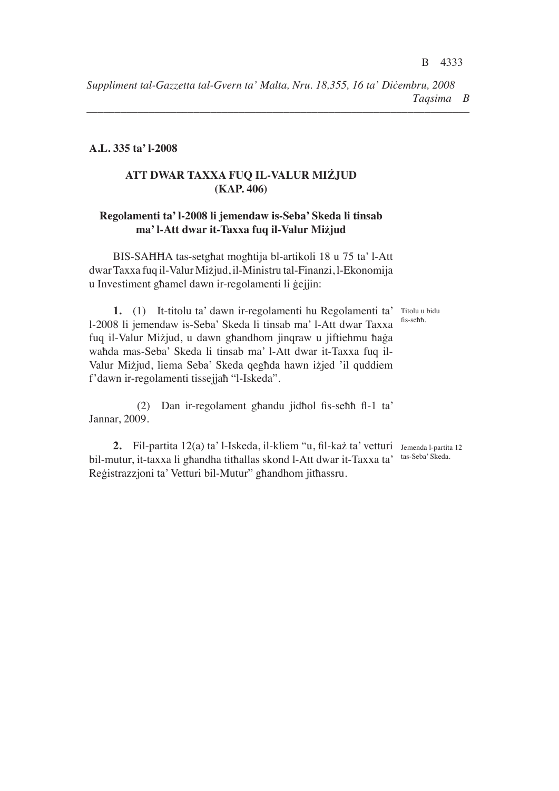*––––––––––––––––––––––––––––––––––––––––––––––––––––––––––––––––––––*

#### **A.L. 335 ta' l-2008**

# **ATT DWAR TAXXA FUQ IL-VALUR MIŻJUD (KAP. 406)**

### **Regolamenti ta' l-2008 li jemendaw is-Seba' Skeda li tinsab ma' l-Att dwar it-Taxxa fuq il-Valur Miżjud**

BIS-SAĦĦA tas-setgħat mogħtija bl-artikoli 18 u 75 ta' l-Att dwar Taxxa fuq il-Valur Miżjud, il-Ministru tal-Finanzi, l-Ekonomija u Investiment għamel dawn ir-regolamenti li ġejjin:

fis-seħħ.

1. (1) It-titolu ta' dawn ir-regolamenti hu Regolamenti ta' Titolu u bidu l-2008 li jemendaw is-Seba' Skeda li tinsab ma' l-Att dwar Taxxa fuq il-Valur Miżjud, u dawn għandhom jinqraw u jiftiehmu ħaġa waħda mas-Seba' Skeda li tinsab ma' l-Att dwar it-Taxxa fuq il-Valur Miżjud, liema Seba' Skeda qegħda hawn iżjed 'il quddiem f'dawn ir-regolamenti tissejjaħ "l-Iskeda".

(2) Dan ir-regolament għandu jidħol fis-seħħ fl-1 ta' Jannar, 2009.

**2.** Fil-partita 12(a) ta' l-Iskeda, il-kliem "u, fil-każ ta' vetturi Jemenda l-partita 12 bil-mutur, it-taxxa li għandha titħallas skond l-Att dwar it-Taxxa ta' Reġistrazzjoni ta' Vetturi bil-Mutur" għandhom jitħassru.

tas-Seba' Skeda.